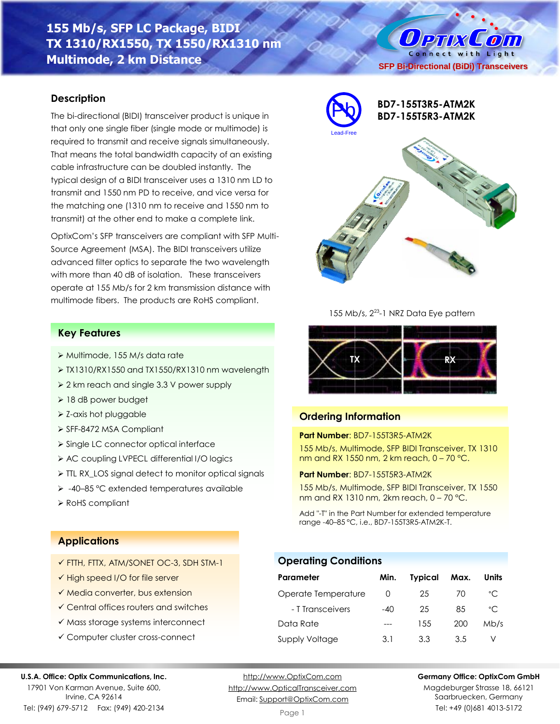# **155 Mb/s, SFP LC Package, BIDI TX 1310/RX1550, TX 1550/RX1310 nm Multimode, 2 km Distance**

## **Description**

The bi-directional (BIDI) transceiver product is unique in that only one single fiber (single mode or multimode) is required to transmit and receive signals simultaneously. That means the total bandwidth capacity of an existing cable infrastructure can be doubled instantly. The typical design of a BIDI transceiver uses a 1310 nm LD to transmit and 1550 nm PD to receive, and vice versa for the matching one (1310 nm to receive and 1550 nm to transmit) at the other end to make a complete link.

OptixCom's SFP transceivers are compliant with SFP Multi-Source Agreement (MSA). The BIDI transceivers utilize advanced filter optics to separate the two wavelength with more than 40 dB of isolation. These transceivers operate at 155 Mb/s for 2 km transmission distance with multimode fibers. The products are RoHS compliant.

## **Key Features**

- ➢ Multimode, 155 M/s data rate
- ➢ TX1310/RX1550 and TX1550/RX1310 nm wavelength
- ➢ 2 km reach and single 3.3 V power supply
- ➢ 18 dB power budget
- ➢ Z-axis hot pluggable
- ➢ SFF-8472 MSA Compliant
- ➢ Single LC connector optical interface
- ➢ AC coupling LVPECL differential I/O logics
- ➢ TTL RX\_LOS signal detect to monitor optical signals
- ➢ -40–85 °C extended temperatures available
- ➢ RoHS compliant



**SFP Bi-Directional (BiDi) Transceivers**

O PTIX COM Connect with Light

155 Mb/s, 2<sup>23</sup>-1 NRZ Data Eye pattern



## **Ordering Information**

**Operating Conditions**

## **Part Number**: BD7-155T3R5-ATM2K

155 Mb/s, Multimode, SFP BIDI Transceiver, TX 1310 nm and RX 1550 nm, 2 km reach, 0 – 70 °C.

**Part Number**: BD7-155T5R3-ATM2K

155 Mb/s, Multimode, SFP BIDI Transceiver, TX 1550 nm and RX 1310 nm, 2km reach, 0 – 70 °C.

Add "-T" in the Part Number for extended temperature range -40–85 °C, i.e., BD7-155T3R5-ATM2K-T.

**Parameter Min. Typical Max. Units** Operate Temperature 0 25 70 °C - T Transceivers -40 25 85 °C Data Rate --- 155 200 Mb/s Supply Voltage 3.1 3.3 3.5 V

## **Applications**

- ✓ FTTH, FTTX, ATM/SONET OC-3, SDH STM-1
- ✓ High speed I/O for file server
- ✓ Media converter, bus extension
- ✓ Central offices routers and switches
- ✓ Mass storage systems interconnect
- ✓ Computer cluster cross-connect

### **U.S.A. Office: Optix Communications, Inc.**

17901 Von Karman Avenue, Suite 600, Irvine, CA 92614 Tel: (949) 679-5712 Fax: (949) 420-2134

[http://www.OptixCom.com](http://www.optixcom.com/) [http://www.OpticalTransceiver.com](http://www.optoictech.com/) Email: [Support@OptixCom.com](mailto:Support@optoICtech.com)

### **Germany Office: OptixCom GmbH**

Magdeburger Strasse 18, 66121 Saarbruecken, Germany Tel: +49 (0)681 4013-5172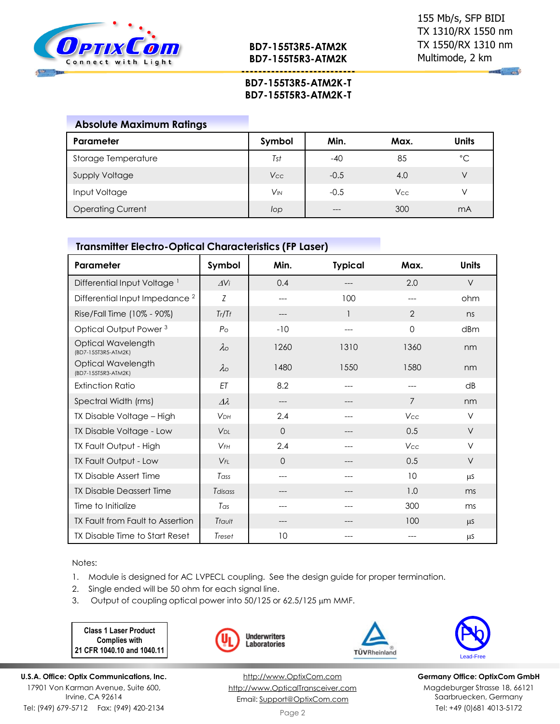

**BD7-155T3R5-ATM2K BD7-155T5R3-ATM2K**

**---------------------------**

*Contract* 

## **BD7-155T3R5-ATM2K-T BD7-155T5R3-ATM2K-T**

| <b>Absolute Maximum Ratings</b> |                       |        |            |              |
|---------------------------------|-----------------------|--------|------------|--------------|
| Parameter                       | Symbol                | Min.   | Max.       | <b>Units</b> |
| Storage Temperature             | Tst                   | $-40$  | 85         | $^{\circ}$ C |
| <b>Supply Voltage</b>           | Vcc                   | $-0.5$ | 4.0        | V            |
| Input Voltage                   | <b>V<sub>IN</sub></b> | $-0.5$ | <b>Vcc</b> | V            |
| <b>Operating Current</b>        | lop                   | ---    | 300        | mA           |

## **Transmitter Electro-Optical Characteristics (FP Laser)**

| Parameter                                 | Symbol          | Min.     | <b>Typical</b> | Max.           | <b>Units</b> |
|-------------------------------------------|-----------------|----------|----------------|----------------|--------------|
| Differential Input Voltage <sup>1</sup>   | AV <sub>i</sub> | 0.4      |                | 2.0            | V            |
| Differential Input Impedance <sup>2</sup> | Z               | ---      | 100            |                | ohm          |
| Rise/Fall Time (10% - 90%)                | Tr/Tr           | ---      |                | $\overline{2}$ | ns           |
| Optical Output Power <sup>3</sup>         | $P_{\rm O}$     | $-10$    |                | $\mathbf 0$    | dBm          |
| Optical Wavelength<br>(BD7-155T3R5-ATM2K) | $\lambda \circ$ | 1260     | 1310           | 1360           | nm           |
| Optical Wavelength<br>(BD7-155T5R3-ATM2K) | $\lambda \circ$ | 1480     | 1550           | 1580           | nm           |
| <b>Extinction Ratio</b>                   | ET              | 8.2      | $---$          | $---$          | dB           |
| Spectral Width (rms)                      | $\Delta\lambda$ | ---      | ---            | $\overline{7}$ | nm           |
| TX Disable Voltage - High                 | <b>VDH</b>      | 2.4      | ---            | Vcc            | $\vee$       |
| TX Disable Voltage - Low                  | V <sub>DI</sub> | $\Omega$ | ---            | 0.5            | $\vee$       |
| TX Fault Output - High                    | $V$ FH          | 2.4      |                | Vcc            | V            |
| TX Fault Output - Low                     | $V_{FI}$        | $\Omega$ |                | 0.5            | V            |
| <b>TX Disable Assert Time</b>             | Tass            | ---      | $---$          | 10             | <b>LLS</b>   |
| <b>TX Disable Deassert Time</b>           | Tdisass         | ---      |                | 1.0            | ms           |
| Time to Initialize                        | Tas             | ---      |                | 300            | ms           |
| TX Fault from Fault to Assertion          | Tfault          | ---      |                | 100            | $\mu$ S      |
| TX Disable Time to Start Reset            | Treset          | 10       |                |                | μS           |

Notes:

1. Module is designed for AC LVPECL coupling. See the design guide for proper termination.

**Underwriters** Laboratories

- 2. Single ended will be 50 ohm for each signal line.
- 3. Output of coupling optical power into 50/125 or 62.5/125 µm MMF.

**Class 1 Laser Product Complies with 21 CFR 1040.10 and 1040.11**



[http://www.OptixCom.com](http://www.optixcom.com/) [http://www.OpticalTransceiver.com](http://www.optoictech.com/) Email: [Support@OptixCom.com](mailto:Support@optoICtech.com)



TÜVRheinland

**Germany Office: OptixCom GmbH** Magdeburger Strasse 18, 66121 Saarbruecken, Germany Tel: +49 (0)681 4013-5172